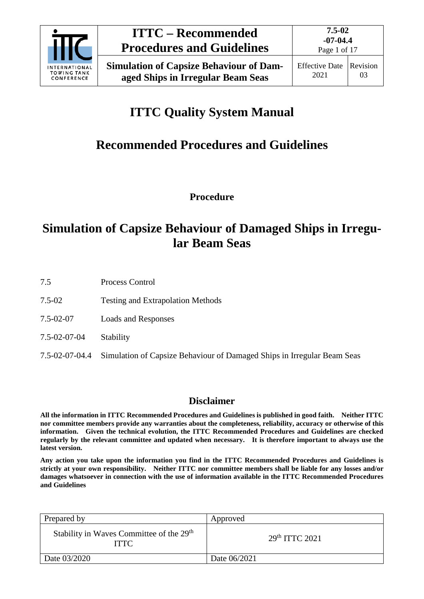

Page 1 of 17

# **ITTC Quality System Manual**

## **Recommended Procedures and Guidelines**

**Procedure**

## **Simulation of Capsize Behaviour of Damaged Ships in Irregular Beam Seas**

7.5 Process Control

- 7.5-02 Testing and Extrapolation Methods
- 7.5-02-07 Loads and Responses
- 7.5-02-07-04 Stability
- 7.5-02-07-04.4 Simulation of Capsize Behaviour of Damaged Ships in Irregular Beam Seas

### **Disclaimer**

**All the information in ITTC Recommended Procedures and Guidelines is published in good faith. Neither ITTC nor committee members provide any warranties about the completeness, reliability, accuracy or otherwise of this information. Given the technical evolution, the ITTC Recommended Procedures and Guidelines are checked regularly by the relevant committee and updated when necessary. It is therefore important to always use the latest version.**

**Any action you take upon the information you find in the ITTC Recommended Procedures and Guidelines is strictly at your own responsibility. Neither ITTC nor committee members shall be liable for any losses and/or damages whatsoever in connection with the use of information available in the ITTC Recommended Procedures and Guidelines**

| Prepared by                                                         | Approved                   |
|---------------------------------------------------------------------|----------------------------|
| Stability in Waves Committee of the 29 <sup>th</sup><br><b>ITTC</b> | 29 <sup>th</sup> TTTC 2021 |
| Date 03/2020                                                        | Date 06/2021               |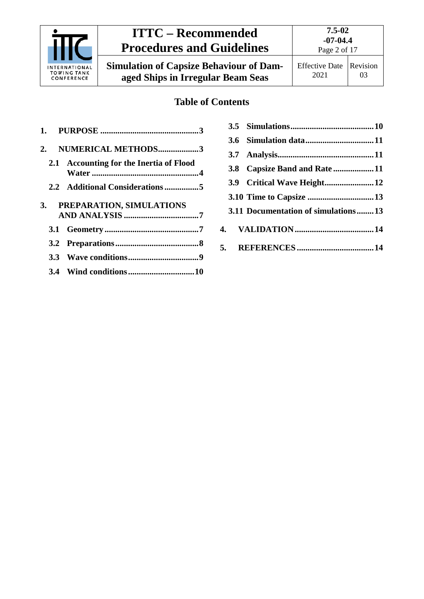

# **ITTC – Recommended Procedures and Guidelines**

**Simulation of Capsize Behaviour of Damaged Ships in Irregular Beam Seas**

### **Table of Contents**

| NUMERICAL METHODS3                      |
|-----------------------------------------|
| 2.1 Accounting for the Inertia of Flood |
|                                         |
| PREPARATION, SIMULATIONS                |
|                                         |
|                                         |
|                                         |
|                                         |
|                                         |

|  | 3.8 Capsize Band and Rate11         |
|--|-------------------------------------|
|  |                                     |
|  |                                     |
|  | 3.11 Documentation of simulations13 |
|  |                                     |
|  |                                     |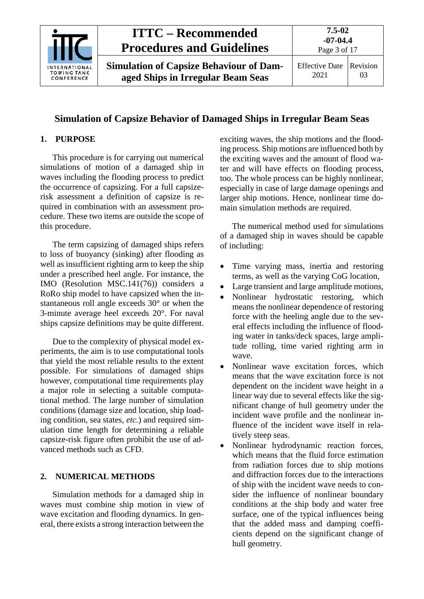

### **Simulation of Capsize Behavior of Damaged Ships in Irregular Beam Seas**

#### <span id="page-2-0"></span>**1. PURPOSE**

This procedure is for carrying out numerical simulations of motion of a damaged ship in waves including the flooding process to predict the occurrence of capsizing. For a full capsizerisk assessment a definition of capsize is required in combination with an assessment procedure. These two items are outside the scope of this procedure.

The term capsizing of damaged ships refers to loss of buoyancy (sinking) after flooding as well as insufficient righting arm to keep the ship under a prescribed heel angle. For instance, the IMO (Resolution MSC.141(76)) considers a RoRo ship model to have capsized when the instantaneous roll angle exceeds 30° or when the 3-minute average heel exceeds 20°. For naval ships capsize definitions may be quite different.

Due to the complexity of physical model experiments, the aim is to use computational tools that yield the most reliable results to the extent possible. For simulations of damaged ships however, computational time requirements play a major role in selecting a suitable computational method. The large number of simulation conditions (damage size and location, ship loading condition, sea states, *etc.*) and required simulation time length for determining a reliable capsize-risk figure often prohibit the use of advanced methods such as CFD.

#### <span id="page-2-1"></span>**2. NUMERICAL METHODS**

Simulation methods for a damaged ship in waves must combine ship motion in view of wave excitation and flooding dynamics. In general, there exists a strong interaction between the exciting waves, the ship motions and the flooding process. Ship motions are influenced both by the exciting waves and the amount of flood water and will have effects on flooding process, too. The whole process can be highly nonlinear, especially in case of large damage openings and larger ship motions. Hence, nonlinear time domain simulation methods are required.

The numerical method used for simulations of a damaged ship in waves should be capable of including:

- Time varying mass, inertia and restoring terms, as well as the varying CoG location,
- Large transient and large amplitude motions,
- Nonlinear hydrostatic restoring, which means the nonlinear dependence of restoring force with the heeling angle due to the several effects including the influence of flooding water in tanks/deck spaces, large amplitude rolling, time varied righting arm in wave.
- Nonlinear wave excitation forces, which means that the wave excitation force is not dependent on the incident wave height in a linear way due to several effects like the significant change of hull geometry under the incident wave profile and the nonlinear influence of the incident wave itself in relatively steep seas.
- Nonlinear hydrodynamic reaction forces, which means that the fluid force estimation from radiation forces due to ship motions and diffraction forces due to the interactions of ship with the incident wave needs to consider the influence of nonlinear boundary conditions at the ship body and water free surface, one of the typical influences being that the added mass and damping coefficients depend on the significant change of hull geometry.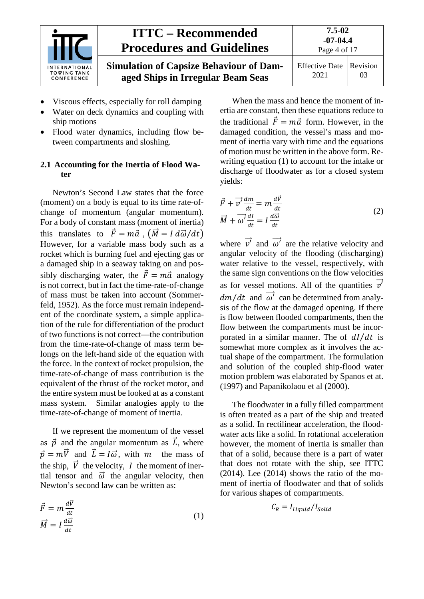

| NAL<br>NK<br>CE | <b>ITTC – Recommended</b><br><b>Procedures and Guidelines</b>                       | $7.5 - 02$<br>$-07-04.4$<br>Page 4 of 17 |    |
|-----------------|-------------------------------------------------------------------------------------|------------------------------------------|----|
|                 | <b>Simulation of Capsize Behaviour of Dam-</b><br>aged Ships in Irregular Beam Seas | Effective Date Revision<br>2021          | 03 |

- Viscous effects, especially for roll damping
- Water on deck dynamics and coupling with ship motions
- Flood water dynamics, including flow between compartments and sloshing.

#### <span id="page-3-0"></span>**2.1 Accounting for the Inertia of Flood Water**

Newton's Second Law states that the force (moment) on a body is equal to its time rate-ofchange of momentum (angular momentum). For a body of constant mass (moment of inertia) this translates to  $\vec{F} = m\vec{a}$ ,  $(\vec{M} = I d\vec{\omega}/dt)$ However, for a variable mass body such as a rocket which is burning fuel and ejecting gas or a damaged ship in a seaway taking on and possibly discharging water, the  $\vec{F} = m\vec{a}$  analogy is not correct, but in fact the time-rate-of-change of mass must be taken into account (Sommerfeld, 1952). As the force must remain independent of the coordinate system, a simple application of the rule for differentiation of the product of two functions is not correct—the contribution from the time-rate-of-change of mass term belongs on the left-hand side of the equation with the force. In the context of rocket propulsion, the time-rate-of-change of mass contribution is the equivalent of the thrust of the rocket motor, and the entire system must be looked at as a constant mass system. Similar analogies apply to the time-rate-of-change of moment of inertia.

If we represent the momentum of the vessel as  $\vec{p}$  and the angular momentum as  $\vec{L}$ , where  $\vec{p} = m\vec{V}$  and  $\vec{L} = I\vec{\omega}$ , with *m* the mass of the ship,  $\vec{V}$  the velocity, I the moment of inertial tensor and  $\vec{\omega}$  the angular velocity, then Newton's second law can be written as:

$$
\vec{F} = m \frac{d\vec{v}}{dt} \n\vec{M} = I \frac{d\vec{\omega}}{dt}
$$
\n(1)

When the mass and hence the moment of inertia are constant, then these equations reduce to the traditional  $\vec{F} = m\vec{a}$  form. However, in the damaged condition, the vessel's mass and moment of inertia vary with time and the equations of motion must be written in the above form. Rewriting equation (1) to account for the intake or discharge of floodwater as for a closed system yields:

$$
\vec{F} + \vec{v'} \frac{dm}{dt} = m \frac{d\vec{v}}{dt}
$$
\n
$$
\vec{M} + \vec{\omega'} \frac{dl}{dt} = I \frac{d\vec{\omega}}{dt}
$$
\n(2)

where  $\overrightarrow{v'}$  and  $\overrightarrow{\omega'}$  are the relative velocity and angular velocity of the flooding (discharging) water relative to the vessel, respectively, with the same sign conventions on the flow velocities as for vessel motions. All of the quantities  $\overrightarrow{v'}$  $dm/dt$  and  $\omega'$  can be determined from analysis of the flow at the damaged opening. If there is flow between flooded compartments, then the flow between the compartments must be incorporated in a similar manner. The of  $dI/dt$  is somewhat more complex as it involves the actual shape of the compartment. The formulation and solution of the coupled ship-flood water motion problem was elaborated by Spanos et at. (1997) and Papanikolaou et al (2000).

The floodwater in a fully filled compartment is often treated as a part of the ship and treated as a solid. In rectilinear acceleration, the floodwater acts like a solid. In rotational acceleration however, the moment of inertia is smaller than that of a solid, because there is a part of water that does not rotate with the ship, see ITTC  $(2014)$ . Lee  $(2014)$  shows the ratio of the moment of inertia of floodwater and that of solids for various shapes of compartments.

$$
C_R = I_{Liquid}/I_{\text{solid}}
$$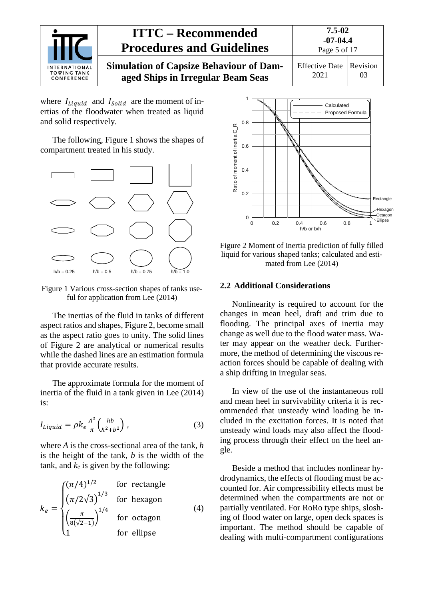

where  $I_{Liquid}$  and  $I_{Solid}$  are the moment of inertias of the floodwater when treated as liquid and solid respectively.

The following, Figure 1 shows the shapes of compartment treated in his study.



Figure 1 Various cross-section shapes of tanks useful for application from Lee (2014)

The inertias of the fluid in tanks of different aspect ratios and shapes, Figure 2, become small as the aspect ratio goes to unity. The solid lines of Figure 2 are analytical or numerical results while the dashed lines are an estimation formula that provide accurate results.

The approximate formula for the moment of inertia of the fluid in a tank given in Lee (2014) is:

$$
I_{Liquid} = \rho k_e \frac{A^2}{\pi} \left(\frac{hb}{h^2 + b^2}\right),\tag{3}
$$

where *A* is the cross-sectional area of the tank, *h* is the height of the tank, *b* is the width of the tank, and  $k_e$  is given by the following:

$$
k_e = \begin{cases} (\pi/4)^{1/2} & \text{for rectangle} \\ (\pi/2\sqrt{3})^{1/3} & \text{for hexagon} \\ \left(\frac{\pi}{8(\sqrt{2}-1)}\right)^{1/4} & \text{for octagon} \\ 1 & \text{for ellipse} \end{cases}
$$
(4)



Figure 2 Moment of Inertia prediction of fully filled liquid for various shaped tanks; calculated and estimated from Lee (2014)

#### <span id="page-4-0"></span>**2.2 Additional Considerations**

Nonlinearity is required to account for the changes in mean heel, draft and trim due to flooding. The principal axes of inertia may change as well due to the flood water mass. Water may appear on the weather deck. Furthermore, the method of determining the viscous reaction forces should be capable of dealing with a ship drifting in irregular seas.

In view of the use of the instantaneous roll and mean heel in survivability criteria it is recommended that unsteady wind loading be included in the excitation forces. It is noted that unsteady wind loads may also affect the flooding process through their effect on the heel angle.

Beside a method that includes nonlinear hydrodynamics, the effects of flooding must be accounted for. Air compressibility effects must be determined when the compartments are not or partially ventilated. For RoRo type ships, sloshing of flood water on large, open deck spaces is important. The method should be capable of dealing with multi-compartment configurations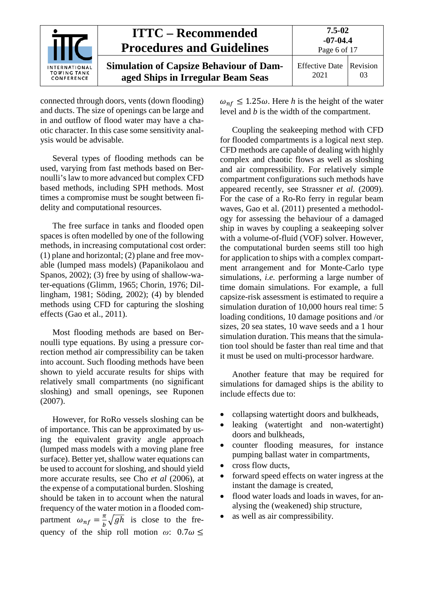

connected through doors, vents (down flooding) and ducts. The size of openings can be large and in and outflow of flood water may have a chaotic character. In this case some sensitivity analysis would be advisable.

Several types of flooding methods can be used, varying from fast methods based on Bernoulli'slaw to more advanced but complex CFD based methods, including SPH methods. Most times a compromise must be sought between fidelity and computational resources.

The free surface in tanks and flooded open spaces is often modelled by one of the following methods, in increasing computational cost order: (1) plane and horizontal; (2) plane and free movable (lumped mass models) (Papanikolaou and Spanos, 2002); (3) free by using of shallow-water-equations (Glimm, 1965; Chorin, 1976; Dillingham, 1981; Söding, 2002); (4) by blended methods using CFD for capturing the sloshing effects (Gao et al., 2011).

Most flooding methods are based on Bernoulli type equations. By using a pressure correction method air compressibility can be taken into account. Such flooding methods have been shown to yield accurate results for ships with relatively small compartments (no significant sloshing) and small openings, see Ruponen (2007).

However, for RoRo vessels sloshing can be of importance. This can be approximated by using the equivalent gravity angle approach (lumped mass models with a moving plane free surface). Better yet, shallow water equations can be used to account for sloshing, and should yield more accurate results, see Cho *et al* (2006), at the expense of a computational burden. Sloshing should be taken in to account when the natural frequency of the water motion in a flooded compartment  $\omega_{nf} = \frac{\pi}{b} \sqrt{gh}$  is close to the frequency of the ship roll motion  $\omega$ :  $0.7\omega \leq$ 

 $\omega_{nf} \leq 1.25\omega$ . Here *h* is the height of the water level and *b* is the width of the compartment.

Coupling the seakeeping method with CFD for flooded compartments is a logical next step. CFD methods are capable of dealing with highly complex and chaotic flows as well as sloshing and air compressibility. For relatively simple compartment configurations such methods have appeared recently, see Strassner *et al.* (2009). For the case of a Ro-Ro ferry in regular beam waves, Gao et al. (2011) presented a methodology for assessing the behaviour of a damaged ship in waves by coupling a seakeeping solver with a volume-of-fluid (VOF) solver. However, the computational burden seems still too high for application to ships with a complex compartment arrangement and for Monte-Carlo type simulations, *i.e.* performing a large number of time domain simulations. For example, a full capsize-risk assessment is estimated to require a simulation duration of 10,000 hours real time: 5 loading conditions, 10 damage positions and /or sizes, 20 sea states, 10 wave seeds and a 1 hour simulation duration. This means that the simulation tool should be faster than real time and that it must be used on multi-processor hardware.

Another feature that may be required for simulations for damaged ships is the ability to include effects due to:

- collapsing watertight doors and bulkheads,
- leaking (watertight and non-watertight) doors and bulkheads,
- counter flooding measures, for instance pumping ballast water in compartments,
- cross flow ducts,
- forward speed effects on water ingress at the instant the damage is created,
- flood water loads and loads in waves, for analysing the (weakened) ship structure,
- as well as air compressibility.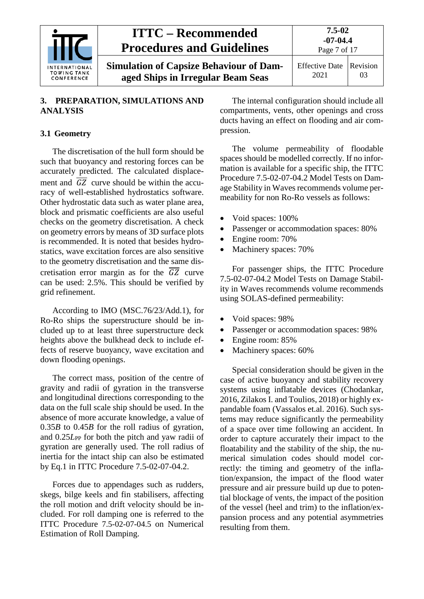

#### <span id="page-6-0"></span>**3. PREPARATION, SIMULATIONS AND ANALYSIS**

#### <span id="page-6-1"></span>**3.1 Geometry**

The discretisation of the hull form should be such that buoyancy and restoring forces can be accurately predicted. The calculated displacement and  $\overline{GZ}$  curve should be within the accuracy of well-established hydrostatics software. Other hydrostatic data such as water plane area, block and prismatic coefficients are also useful checks on the geometry discretisation. A check on geometry errors by means of 3D surface plots is recommended. It is noted that besides hydrostatics, wave excitation forces are also sensitive to the geometry discretisation and the same discretisation error margin as for the  $\overline{GZ}$  curve can be used: 2.5%. This should be verified by grid refinement.

According to IMO (MSC.76/23/Add.1), for Ro-Ro ships the superstructure should be included up to at least three superstructure deck heights above the bulkhead deck to include effects of reserve buoyancy, wave excitation and down flooding openings.

The correct mass, position of the centre of gravity and radii of gyration in the transverse and longitudinal directions corresponding to the data on the full scale ship should be used. In the absence of more accurate knowledge, a value of 0.35*B* to 0.45*B* for the roll radius of gyration, and  $0.25L_{PP}$  for both the pitch and yaw radii of gyration are generally used. The roll radius of inertia for the intact ship can also be estimated by Eq.1 in ITTC Procedure 7.5-02-07-04.2.

Forces due to appendages such as rudders, skegs, bilge keels and fin stabilisers, affecting the roll motion and drift velocity should be included. For roll damping one is referred to the ITTC Procedure 7.5-02-07-04.5 on Numerical Estimation of Roll Damping.

The internal configuration should include all compartments, vents, other openings and cross ducts having an effect on flooding and air compression.

The volume permeability of floodable spaces should be modelled correctly. If no information is available for a specific ship, the ITTC Procedure 7.5-02-07-04.2 Model Tests on Damage Stability in Waves recommends volume permeability for non Ro-Ro vessels as follows:

- Void spaces: 100%
- Passenger or accommodation spaces: 80%
- Engine room: 70%
- Machinery spaces: 70%

For passenger ships, the ITTC Procedure 7.5-02-07-04.2 Model Tests on Damage Stability in Waves recommends volume recommends using SOLAS-defined permeability:

- Void spaces: 98%
- Passenger or accommodation spaces: 98%
- Engine room: 85%
- Machinery spaces: 60%

Special consideration should be given in the case of active buoyancy and stability recovery systems using inflatable devices (Chodankar, 2016, Zilakos I. and Toulios, 2018) or highly expandable foam (Vassalos et.al. 2016). Such systems may reduce significantly the permeability of a space over time following an accident. In order to capture accurately their impact to the floatability and the stability of the ship, the numerical simulation codes should model correctly: the timing and geometry of the inflation/expansion, the impact of the flood water pressure and air pressure build up due to potential blockage of vents, the impact of the position of the vessel (heel and trim) to the inflation/expansion process and any potential asymmetries resulting from them.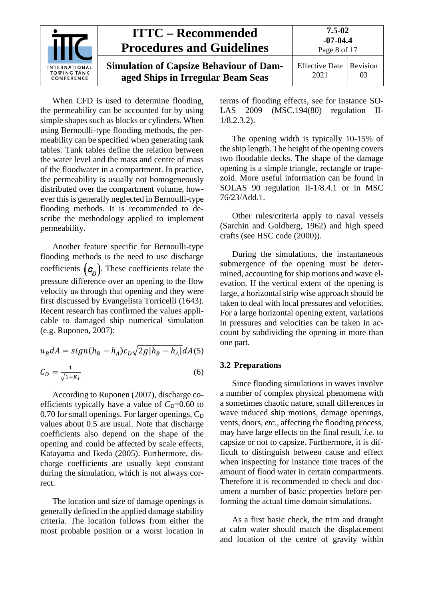

When CFD is used to determine flooding, the permeability can be accounted for by using simple shapes such as blocks or cylinders. When using Bernoulli-type flooding methods, the permeability can be specified when generating tank tables. Tank tables define the relation between the water level and the mass and centre of mass of the floodwater in a compartment. In practice, the permeability is usually not homogeneously distributed over the compartment volume, however this is generally neglected in Bernoulli-type flooding methods. It is recommended to describe the methodology applied to implement permeability.

Another feature specific for Bernoulli-type flooding methods is the need to use discharge coefficients  $(c_p)$ . These coefficients relate the pressure difference over an opening to the flow velocity  $u_B$  through that opening and they were first discussed by Evangelista Torricelli (1643). Recent research has confirmed the values applicable to damaged ship numerical simulation (e.g. Ruponen, 2007):

$$
u_B dA = sign(h_B - h_A)c_D \sqrt{2g|h_B - h_A|} dA(5)
$$
  

$$
C_D = \frac{1}{\sqrt{1+K_L}} \tag{6}
$$

According to Ruponen (2007), discharge coefficients typically have a value of  $C<sub>D</sub>=0.60$  to  $0.70$  for small openings. For larger openings,  $C_D$ values about 0.5 are usual. Note that discharge coefficients also depend on the shape of the opening and could be affected by scale effects, Katayama and Ikeda (2005). Furthermore, discharge coefficients are usually kept constant during the simulation, which is not always correct.

The location and size of damage openings is generally defined in the applied damage stability criteria. The location follows from either the most probable position or a worst location in terms of flooding effects, see for instance SO-LAS 2009 (MSC.194(80) regulation II-1/8.2.3.2).

The opening width is typically 10-15% of the ship length. The height of the opening covers two floodable decks. The shape of the damage opening is a simple triangle, rectangle or trapezoid. More useful information can be found in SOLAS 90 regulation II-1/8.4.1 or in MSC 76/23/Add.1.

Other rules/criteria apply to naval vessels (Sarchin and Goldberg, 1962) and high speed crafts (see HSC code (2000)).

During the simulations, the instantaneous submergence of the opening must be determined, accounting for ship motions and wave elevation. If the vertical extent of the opening is large, a horizontal strip wise approach should be taken to deal with local pressures and velocities. For a large horizontal opening extent, variations in pressures and velocities can be taken in account by subdividing the opening in more than one part.

#### <span id="page-7-0"></span>**3.2 Preparations**

Since flooding simulations in waves involve a number of complex physical phenomena with a sometimes chaotic nature, small differences in wave induced ship motions, damage openings, vents, doors, *etc.*, affecting the flooding process, may have large effects on the final result, *i.e*. to capsize or not to capsize. Furthermore, it is difficult to distinguish between cause and effect when inspecting for instance time traces of the amount of flood water in certain compartments. Therefore it is recommended to check and document a number of basic properties before performing the actual time domain simulations.

As a first basic check, the trim and draught at calm water should match the displacement and location of the centre of gravity within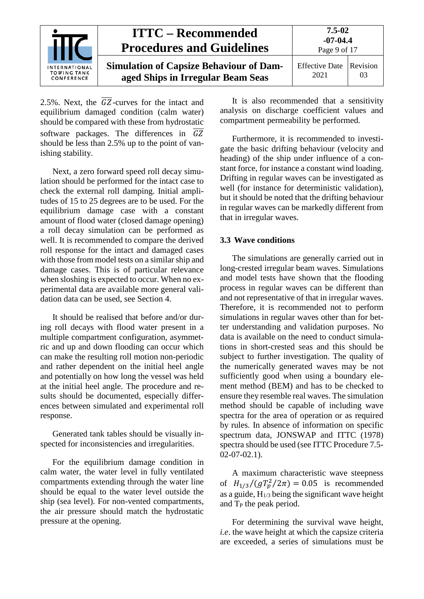|                                                          | <b>ITTC – Recommended</b><br><b>Procedures and Guidelines</b>                       | 7.5-02<br>$-07-04.4$<br>Page 9 of 17 |    |
|----------------------------------------------------------|-------------------------------------------------------------------------------------|--------------------------------------|----|
| <b>INTERNATIONAL</b><br><b>TOWING TANK</b><br>CONFERENCE | <b>Simulation of Capsize Behaviour of Dam-</b><br>aged Ships in Irregular Beam Seas | Effective Date Revision<br>2021      | 03 |

2.5%. Next, the  $\overline{GZ}$ -curves for the intact and equilibrium damaged condition (calm water) should be compared with these from hydrostatic software packages. The differences in  $\overline{GZ}$ should be less than 2.5% up to the point of vanishing stability.

Next, a zero forward speed roll decay simulation should be performed for the intact case to check the external roll damping. Initial amplitudes of 15 to 25 degrees are to be used. For the equilibrium damage case with a constant amount of flood water (closed damage opening) a roll decay simulation can be performed as well. It is recommended to compare the derived roll response for the intact and damaged cases with those from model tests on a similar ship and damage cases. This is of particular relevance when sloshing is expected to occur. When no experimental data are available more general validation data can be used, see Section 4.

It should be realised that before and/or during roll decays with flood water present in a multiple compartment configuration, asymmetric and up and down flooding can occur which can make the resulting roll motion non-periodic and rather dependent on the initial heel angle and potentially on how long the vessel was held at the initial heel angle. The procedure and results should be documented, especially differences between simulated and experimental roll response.

Generated tank tables should be visually inspected for inconsistencies and irregularities.

For the equilibrium damage condition in calm water, the water level in fully ventilated compartments extending through the water line should be equal to the water level outside the ship (sea level). For non-vented compartments, the air pressure should match the hydrostatic pressure at the opening.

It is also recommended that a sensitivity analysis on discharge coefficient values and compartment permeability be performed.

Furthermore, it is recommended to investigate the basic drifting behaviour (velocity and heading) of the ship under influence of a constant force, for instance a constant wind loading. Drifting in regular waves can be investigated as well (for instance for deterministic validation), but it should be noted that the drifting behaviour in regular waves can be markedly different from that in irregular waves.

#### <span id="page-8-0"></span>**3.3 Wave conditions**

The simulations are generally carried out in long-crested irregular beam waves. Simulations and model tests have shown that the flooding process in regular waves can be different than and not representative of that in irregular waves. Therefore, it is recommended not to perform simulations in regular waves other than for better understanding and validation purposes. No data is available on the need to conduct simulations in short-crested seas and this should be subject to further investigation. The quality of the numerically generated waves may be not sufficiently good when using a boundary element method (BEM) and has to be checked to ensure they resemble real waves. The simulation method should be capable of including wave spectra for the area of operation or as required by rules. In absence of information on specific spectrum data, JONSWAP and ITTC (1978) spectra should be used (see ITTC Procedure 7.5- 02-07-02.1).

A maximum characteristic wave steepness of  $H_{1/3} / (g T_p^2 / 2\pi) = 0.05$  is recommended as a guide,  $H_{1/3}$  being the significant wave height and  $T_P$  the peak period.

For determining the survival wave height, *i.e*. the wave height at which the capsize criteria are exceeded, a series of simulations must be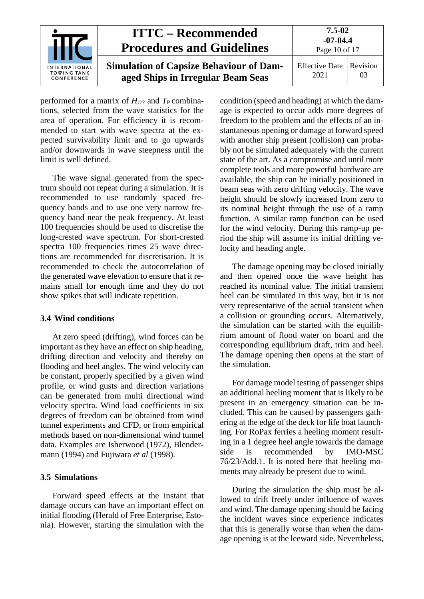

performed for a matrix of  $H_{1/3}$  and  $T_{\rm P}$  combinations, selected from the wave statistics for the area of operation. For efficiency it is recommended to start with wave spectra at the expected survivability limit and to go upwards and/or downwards in wave steepness until the limit is well defined.

The wave signal generated from the spectrum should not repeat during a simulation. It is recommended to use randomly spaced frequency bands and to use one very narrow frequency band near the peak frequency. At least 100 frequencies should be used to discretise the long-crested wave spectrum. For short-crested spectra 100 frequencies times 25 wave directions are recommended for discretisation. It is recommended to check the autocorrelation of the generated wave elevation to ensure that it remains small for enough time and they do not show spikes that will indicate repetition.

#### <span id="page-9-0"></span>**3.4 Wind conditions**

At zero speed (drifting), wind forces can be important as they have an effect on ship heading, drifting direction and velocity and thereby on flooding and heel angles. The wind velocity can be constant, properly specified by a given wind profile, or wind gusts and direction variations can be generated from multi directional wind velocity spectra. Wind load coefficients in six degrees of freedom can be obtained from wind tunnel experiments and CFD, or from empirical methods based on non-dimensional wind tunnel data. Examples are Isherwood (1972), Blendermann (1994) and Fujiwara *et al* (1998).

#### <span id="page-9-1"></span>**3.5 Simulations**

Forward speed effects at the instant that damage occurs can have an important effect on initial flooding (Herald of Free Enterprise, Estonia). However, starting the simulation with the

condition (speed and heading) at which the damage is expected to occur adds more degrees of freedom to the problem and the effects of an instantaneous opening or damage at forward speed with another ship present (collision) can probably not be simulated adequately with the current state of the art. As a compromise and until more complete tools and more powerful hardware are available, the ship can be initially positioned in beam seas with zero drifting velocity. The wave height should be slowly increased from zero to its nominal height through the use of a ramp function. A similar ramp function can be used for the wind velocity. During this ramp-up period the ship will assume its initial drifting velocity and heading angle.

The damage opening may be closed initially and then opened once the wave height has reached its nominal value. The initial transient heel can be simulated in this way, but it is not very representative of the actual transient when a collision or grounding occurs. Alternatively, the simulation can be started with the equilibrium amount of flood water on board and the corresponding equilibrium draft, trim and heel. The damage opening then opens at the start of the simulation.

For damage model testing of passenger ships an additional heeling moment that is likely to be present in an emergency situation can be included. This can be caused by passengers gathering at the edge of the deck for life boat launching. For RoPax ferries a heeling moment resulting in a 1 degree heel angle towards the damage side is recommended by IMO-MSC 76/23/Add.1. It is noted here that heeling moments may already be present due to wind.

During the simulation the ship must be allowed to drift freely under influence of waves and wind. The damage opening should be facing the incident waves since experience indicates that this is generally worse than when the damage opening is at the leeward side. Nevertheless,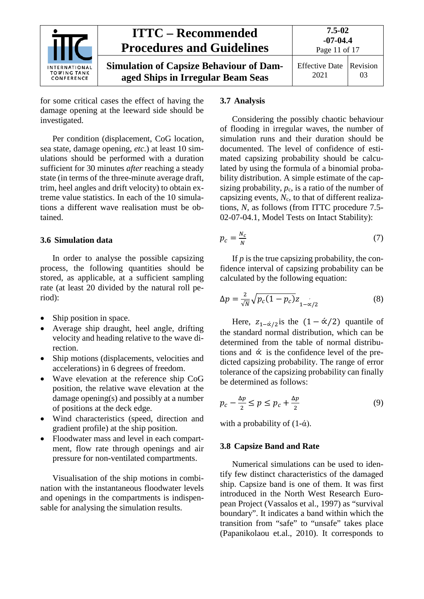

for some critical cases the effect of having the damage opening at the leeward side should be investigated.

Per condition (displacement, CoG location, sea state, damage opening, *etc*.) at least 10 simulations should be performed with a duration sufficient for 30 minutes *after* reaching a steady state (in terms of the three-minute average draft, trim, heel angles and drift velocity) to obtain extreme value statistics. In each of the 10 simulations a different wave realisation must be obtained.

#### <span id="page-10-0"></span>**3.6 Simulation data**

In order to analyse the possible capsizing process, the following quantities should be stored, as applicable, at a sufficient sampling rate (at least 20 divided by the natural roll period):

- Ship position in space.
- Average ship draught, heel angle, drifting velocity and heading relative to the wave direction.
- Ship motions (displacements, velocities and accelerations) in 6 degrees of freedom.
- Wave elevation at the reference ship CoG position, the relative wave elevation at the damage opening(s) and possibly at a number of positions at the deck edge.
- Wind characteristics (speed, direction and gradient profile) at the ship position.
- Floodwater mass and level in each compartment, flow rate through openings and air pressure for non-ventilated compartments.

Visualisation of the ship motions in combination with the instantaneous floodwater levels and openings in the compartments is indispensable for analysing the simulation results.

#### <span id="page-10-1"></span>**3.7 Analysis**

Considering the possibly chaotic behaviour of flooding in irregular waves, the number of simulation runs and their duration should be documented. The level of confidence of estimated capsizing probability should be calculated by using the formula of a binomial probability distribution. A simple estimate of the capsizing probability,  $p_c$ , is a ratio of the number of capsizing events,  $N_c$ , to that of different realizations, *N,* as follows (from ITTC procedure 7.5- 02-07-04.1, Model Tests on Intact Stability):

$$
p_c = \frac{N_c}{N} \tag{7}
$$

If *p* is the true capsizing probability, the confidence interval of capsizing probability can be calculated by the following equation:

$$
\Delta p = \frac{2}{\sqrt{N}} \sqrt{p_c (1 - p_c)} z_{1 - \alpha/2}
$$
 (8)

Here,  $z_{1-\alpha/2}$  is the  $(1-\alpha/2)$  quantile of the standard normal distribution, which can be determined from the table of normal distributions and  $\dot{\alpha}$  is the confidence level of the predicted capsizing probability. The range of error tolerance of the capsizing probability can finally be determined as follows:

$$
p_c - \frac{\Delta p}{2} \le p \le p_c + \frac{\Delta p}{2} \tag{9}
$$

<span id="page-10-2"></span>with a probability of  $(1-\alpha)$ .

#### **3.8 Capsize Band and Rate**

Numerical simulations can be used to identify few distinct characteristics of the damaged ship. Capsize band is one of them. It was first introduced in the North West Research European Project (Vassalos et al., 1997) as "survival boundary". It indicates a band within which the transition from "safe" to "unsafe" takes place (Papanikolaou et.al., 2010). It corresponds to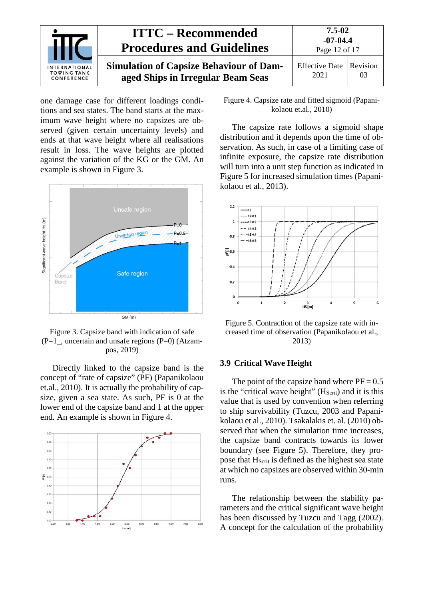

one damage case for different loadings conditions and sea states. The band starts at the maximum wave height where no capsizes are observed (given certain uncertainty levels) and ends at that wave height where all realisations result in loss. The wave heights are plotted against the variation of the KG or the GM. An example is shown in Figure 3.



Figure 3. Capsize band with indication of safe  $(P=1)$ , uncertain and unsafe regions  $(P=0)$  (Atzampos, 2019)

Directly linked to the capsize band is the concept of "rate of capsize" (PF) (Papanikolaou et.al., 2010). It is actually the probability of capsize, given a sea state. As such, PF is 0 at the lower end of the capsize band and 1 at the upper end. An example is shown in Figure 4.



Figure 4. Capsize rate and fitted sigmoid (Papanikolaou et.al., 2010)

The capsize rate follows a sigmoid shape distribution and it depends upon the time of observation. As such, in case of a limiting case of infinite exposure, the capsize rate distribution will turn into a unit step function as indicated in Figure 5 for increased simulation times (Papanikolaou et al., 2013).



Figure 5. Contraction of the capsize rate with increased time of observation (Papanikolaou et al., 2013)

#### <span id="page-11-0"></span>**3.9 Critical Wave Height**

The point of the capsize band where  $PF = 0.5$ is the "critical wave height"  $(H<sub>Scrit</sub>)$  and it is this value that is used by convention when referring to ship survivability (Tuzcu, 2003 and Papanikolaou et al., 2010). Tsakalakis et. al. (2010) observed that when the simulation time increases, the capsize band contracts towards its lower boundary (see Figure 5). Therefore, they propose that H<sub>Scrit</sub> is defined as the highest sea state at which no capsizes are observed within 30-min runs.

The relationship between the stability parameters and the critical significant wave height has been discussed by Tuzcu and Tagg (2002). A concept for the calculation of the probability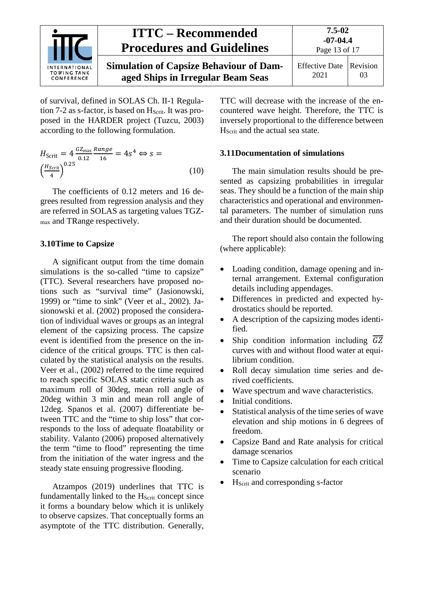

of survival, defined in SOLAS Ch. II-1 Regulation 7-2 as s-factor, is based on  $H<sub>Scrit</sub>$ . It was proposed in the HARDER project (Tuzcu, 2003) according to the following formulation.

$$
H_{\text{Scrit}} = 4 \frac{G Z_{\text{max}} R \text{ang} e}{0.12} = 4s^4 \Leftrightarrow s = \left(\frac{H_{\text{Scrit}}}{4}\right)^{0.25} \tag{10}
$$

The coefficients of 0.12 meters and 16 degrees resulted from regression analysis and they are referred in SOLAS as targeting values TGZmax and TRange respectively.

#### <span id="page-12-0"></span>**3.10Time to Capsize**

A significant output from the time domain simulations is the so-called "time to capsize" (TTC). Several researchers have proposed notions such as "survival time" (Jasionowski, 1999) or "time to sink" (Veer et al., 2002). Jasionowski et al. (2002) proposed the consideration of individual waves or groups as an integral element of the capsizing process. The capsize event is identified from the presence on the incidence of the critical groups. TTC is then calculated by the statistical analysis on the results. Veer et al., (2002) referred to the time required to reach specific SOLAS static criteria such as maximum roll of 30deg, mean roll angle of 20deg within 3 min and mean roll angle of 12deg. Spanos et al. (2007) differentiate between TTC and the "time to ship loss" that corresponds to the loss of adequate floatability or stability. Valanto (2006) proposed alternatively the term "time to flood" representing the time from the initiation of the water ingress and the steady state ensuing progressive flooding.

Atzampos (2019) underlines that TTC is fundamentally linked to the  $H<sub>Scrit</sub>$  concept since it forms a boundary below which it is unlikely to observe capsizes. That conceptually forms an asymptote of the TTC distribution. Generally, TTC will decrease with the increase of the encountered wave height. Therefore, the TTC is inversely proportional to the difference between H<sub>Scrit</sub> and the actual sea state.

#### <span id="page-12-1"></span>**3.11Documentation of simulations**

The main simulation results should be presented as capsizing probabilities in irregular seas. They should be a function of the main ship characteristics and operational and environmental parameters. The number of simulation runs and their duration should be documented.

The report should also contain the following (where applicable):

- Loading condition, damage opening and internal arrangement. External configuration details including appendages.
- Differences in predicted and expected hydrostatics should be reported.
- A description of the capsizing modes identified.
- Ship condition information including  $\overline{GZ}$ curves with and without flood water at equilibrium condition.
- Roll decay simulation time series and derived coefficients.
- Wave spectrum and wave characteristics.
- Initial conditions.
- Statistical analysis of the time series of wave elevation and ship motions in 6 degrees of freedom.
- Capsize Band and Rate analysis for critical damage scenarios
- Time to Capsize calculation for each critical scenario
- HScrit and corresponding s-factor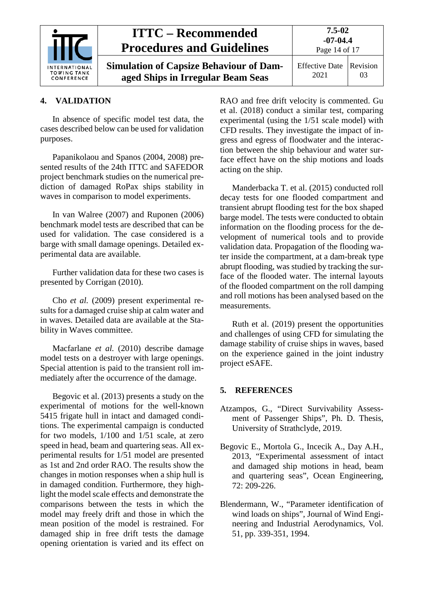

#### <span id="page-13-0"></span>**4. VALIDATION**

In absence of specific model test data, the cases described below can be used for validation purposes.

Papanikolaou and Spanos (2004, 2008) presented results of the 24th ITTC and SAFEDOR project benchmark studies on the numerical prediction of damaged RoPax ships stability in waves in comparison to model experiments.

In van Walree (2007) and Ruponen (2006) benchmark model tests are described that can be used for validation. The case considered is a barge with small damage openings. Detailed experimental data are available.

Further validation data for these two cases is presented by Corrigan (2010).

Cho *et al.* (2009) present experimental results for a damaged cruise ship at calm water and in waves. Detailed data are available at the Stability in Waves committee.

Macfarlane *et al.* (2010) describe damage model tests on a destroyer with large openings. Special attention is paid to the transient roll immediately after the occurrence of the damage.

Begovic et al. (2013) presents a study on the experimental of motions for the well-known 5415 frigate hull in intact and damaged conditions. The experimental campaign is conducted for two models, 1/100 and 1/51 scale, at zero speed in head, beam and quartering seas. All experimental results for 1/51 model are presented as 1st and 2nd order RAO. The results show the changes in motion responses when a ship hull is in damaged condition. Furthermore, they highlight the model scale effects and demonstrate the comparisons between the tests in which the model may freely drift and those in which the mean position of the model is restrained. For damaged ship in free drift tests the damage opening orientation is varied and its effect on RAO and free drift velocity is commented. Gu et al. (2018) conduct a similar test, comparing experimental (using the 1/51 scale model) with CFD results. They investigate the impact of ingress and egress of floodwater and the interaction between the ship behaviour and water surface effect have on the ship motions and loads acting on the ship.

Manderbacka T. et al. (2015) conducted roll decay tests for one flooded compartment and transient abrupt flooding test for the box shaped barge model. The tests were conducted to obtain information on the flooding process for the development of numerical tools and to provide validation data. Propagation of the flooding water inside the compartment, at a dam-break type abrupt flooding, was studied by tracking the surface of the flooded water. The internal layouts of the flooded compartment on the roll damping and roll motions has been analysed based on the measurements.

Ruth et al. (2019) present the opportunities and challenges of using CFD for simulating the damage stability of cruise ships in waves, based on the experience gained in the joint industry project eSAFE.

#### <span id="page-13-1"></span>**5. REFERENCES**

- Atzampos, G., "Direct Survivability Assessment of Passenger Ships", Ph. D. Thesis, University of Strathclyde, 2019.
- Begovic E., Mortola G., Incecik A., Day A.H., 2013, "Experimental assessment of intact and damaged ship motions in head, beam and quartering seas", Ocean Engineering, 72: 209-226.
- Blendermann, W., "Parameter identification of wind loads on ships", Journal of Wind Engineering and Industrial Aerodynamics, Vol. 51, pp. 339-351, 1994.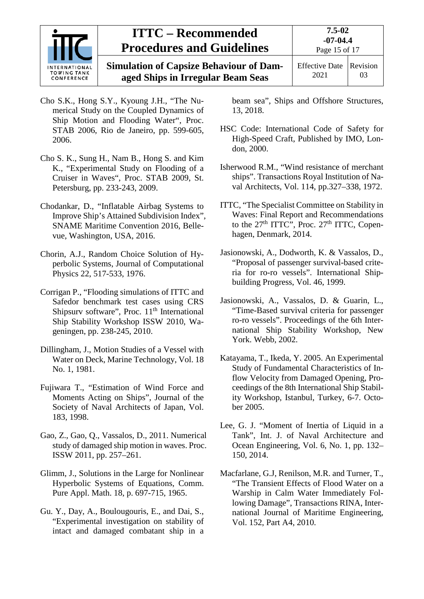

## **ITTC – Recommended Procedures and Guidelines**

**Simulation of Capsize Behaviour of Damaged Ships in Irregular Beam Seas**

Effective Date 2021 Revision 03

- Cho S.K., Hong S.Y., Kyoung J.H., "The Numerical Study on the Coupled Dynamics of Ship Motion and Flooding Water", Proc. STAB 2006, Rio de Janeiro, pp. 599-605, 2006.
- Cho S. K., Sung H., Nam B., Hong S. and Kim K., "Experimental Study on Flooding of a Cruiser in Waves", Proc. STAB 2009, St. Petersburg, pp. 233-243, 2009.
- Chodankar, D., "Inflatable Airbag Systems to Improve Ship's Attained Subdivision Index", SNAME Maritime Convention 2016, Bellevue, Washington, USA, 2016.
- Chorin, A.J., Random Choice Solution of Hyperbolic Systems, Journal of Computational Physics 22, 517-533, 1976.
- Corrigan P., "Flooding simulations of ITTC and Safedor benchmark test cases using CRS Shipsurv software", Proc. 11<sup>th</sup> International Ship Stability Workshop ISSW 2010, Wageningen, pp. 238-245, 2010.
- Dillingham, J., Motion Studies of a Vessel with Water on Deck, Marine Technology, Vol. 18 No. 1, 1981.
- Fujiwara T., "Estimation of Wind Force and Moments Acting on Ships", Journal of the Society of Naval Architects of Japan, Vol. 183, 1998.
- Gao, Z., Gao, Q., Vassalos, D., 2011. Numerical study of damaged ship motion in waves. Proc. ISSW 2011, pp. 257–261.
- Glimm, J., Solutions in the Large for Nonlinear Hyperbolic Systems of Equations, Comm. Pure Appl. Math. 18, p. 697-715, 1965.
- Gu. Y., Day, A., Boulougouris, E., and Dai, S., "Experimental investigation on stability of intact and damaged combatant ship in a

beam sea", Ships and Offshore Structures, 13, 2018.

- HSC Code: International Code of Safety for High-Speed Craft, Published by IMO, London, 2000.
- Isherwood R.M., "Wind resistance of merchant ships". Transactions Royal Institution of Naval Architects, Vol. 114, pp.327–338, 1972.
- ITTC, "The Specialist Committee on Stability in Waves: Final Report and Recommendations to the  $27<sup>th</sup> TTTC$ ", Proc.  $27<sup>th</sup> TTTC$ , Copenhagen, Denmark, 2014.
- Jasionowski, A., Dodworth, K. & Vassalos, D., "Proposal of passenger survival-based criteria for ro-ro vessels". International Shipbuilding Progress, Vol. 46, 1999.
- Jasionowski, A., Vassalos, D. & Guarin, L., "Time-Based survival criteria for passenger ro-ro vessels". Proceedings of the 6th International Ship Stability Workshop, New York. Webb, 2002.
- Katayama, T., Ikeda, Y. 2005. An Experimental Study of Fundamental Characteristics of Inflow Velocity from Damaged Opening, Proceedings of the 8th International Ship Stability Workshop, Istanbul, Turkey, 6-7. October 2005.
- Lee, G. J. "Moment of Inertia of Liquid in a Tank", Int. J. of Naval Architecture and Ocean Engineering, Vol. 6, No. 1, pp. 132– 150, 2014.
- Macfarlane, G.J, Renilson, M.R. and Turner, T., "The Transient Effects of Flood Water on a Warship in Calm Water Immediately Following Damage", Transactions RINA, International Journal of Maritime Engineering, Vol. 152, Part A4, 2010.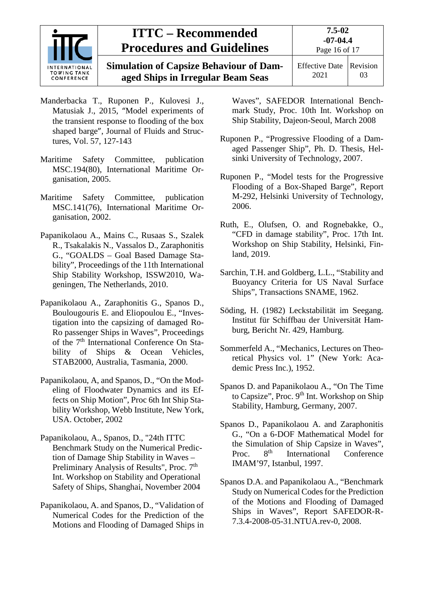

## **ITTC – Recommended Procedures and Guidelines**

**Simulation of Capsize Behaviour of Damaged Ships in Irregular Beam Seas**

- Manderbacka T., Ruponen P., Kulovesi J., Matusiak J., 2015, "Model experiments of the transient response to flooding of the box shaped barge", Journal of Fluids and Structures, Vol. 57, 127-143
- Maritime Safety Committee, publication MSC.194(80), International Maritime Organisation, 2005.
- Maritime Safety Committee, publication MSC.141(76), International Maritime Organisation, 2002.
- Papanikolaou A., Mains C., Rusaas S., Szalek R., Tsakalakis N., Vassalos D., Zaraphonitis G., "GOALDS – Goal Based Damage Stability", Proceedings of the 11th International Ship Stability Workshop, ISSW2010, Wageningen, The Netherlands, 2010.
- Papanikolaou A., Zaraphonitis G., Spanos D., Boulougouris E. and Eliopoulou E., "Investigation into the capsizing of damaged Ro-Ro passenger Ships in Waves", Proceedings of the 7<sup>th</sup> International Conference On Stability of Ships & Ocean Vehicles, STAB2000, Australia, Tasmania, 2000.
- Papanikolaou, A, and Spanos, D., "On the Modeling of Floodwater Dynamics and its Effects on Ship Motion", Proc 6th Int Ship Stability Workshop, Webb Institute, New York, USA. October, 2002
- Papanikolaou, A., Spanos, D., "24th ITTC Benchmark Study on the Numerical Prediction of Damage Ship Stability in Waves – Preliminary Analysis of Results", Proc. 7<sup>th</sup> Int. Workshop on Stability and Operational Safety of Ships, Shanghai, November 2004
- Papanikolaou, A. and Spanos, D., "Validation of Numerical Codes for the Prediction of the Motions and Flooding of Damaged Ships in

Waves", SAFEDOR International Benchmark Study, Proc. 10th Int. Workshop on Ship Stability, Dajeon-Seoul, March 2008

- Ruponen P., "Progressive Flooding of a Damaged Passenger Ship", Ph. D. Thesis, Helsinki University of Technology, 2007.
- Ruponen P., "Model tests for the Progressive Flooding of a Box-Shaped Barge", Report M-292, Helsinki University of Technology, 2006.
- Ruth, E., Olufsen, O. and Rognebakke, O., "CFD in damage stability", Proc. 17th Int. Workshop on Ship Stability, Helsinki, Finland, 2019.
- Sarchin, T.H. and Goldberg, L.L., "Stability and Buoyancy Criteria for US Naval Surface Ships", Transactions SNAME, 1962.
- Söding, H. (1982) Leckstabilität im Seegang. Institut für Schiffbau der Universität Hamburg, Bericht Nr. 429, Hamburg.
- Sommerfeld A., "Mechanics, Lectures on Theoretical Physics vol. 1" (New York: Academic Press Inc.), 1952.
- Spanos D. and Papanikolaou A., "On The Time to Capsize", Proc. 9<sup>th</sup> Int. Workshop on Ship Stability, Hamburg, Germany, 2007.
- Spanos D., Papanikolaou A. and Zaraphonitis G., "On a 6-DOF Mathematical Model for the Simulation of Ship Capsize in Waves",<br>Proc. 8<sup>th</sup> International Conference Proc.  $8<sup>th</sup>$  International Conference IMAM'97, Istanbul, 1997.
- Spanos D.A. and Papanikolaou A., "Benchmark Study on Numerical Codes for the Prediction of the Motions and Flooding of Damaged Ships in Waves", Report SAFEDOR-R-7.3.4-2008-05-31.NTUA.rev-0, 2008.